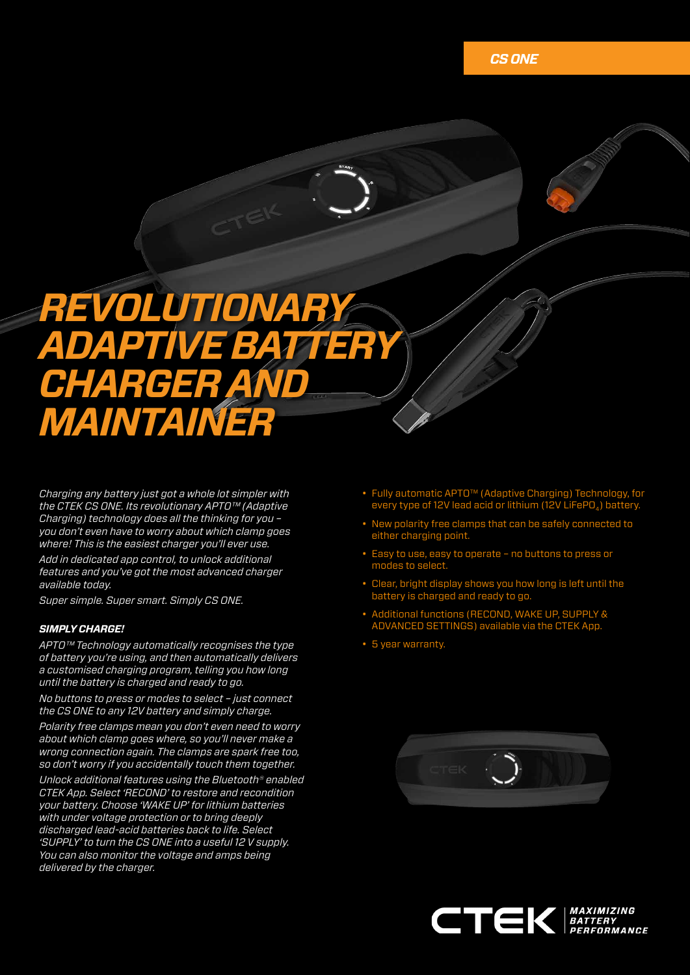# *REVOLUTIONARY ADAPTIVE BATTERY CHARGER AND MAINTAINER*

*Charging any battery just got a whole lot simpler with the CTEK CS ONE. Its revolutionary APTO™ (Adaptive Charging) technology does all the thinking for you – you don't even have to worry about which clamp goes where! This is the easiest charger you'll ever use. Add in dedicated app control, to unlock additional features and you've got the most advanced charger available today.* 

*Super simple. Super smart. Simply CS ONE.* 

### *SIMPLY CHARGE!*

*APTO™ Technology automatically recognises the type of battery you're using, and then automatically delivers a customised charging program, telling you how long until the battery is charged and ready to go.* 

*No buttons to press or modes to select – just connect the CS ONE to any 12V battery and simply charge.*

*Polarity free clamps mean you don't even need to worry about which clamp goes where, so you'll never make a wrong connection again. The clamps are spark free too, so don't worry if you accidentally touch them together.*

*Unlock additional features using the Bluetooth® enabled CTEK App. Select 'RECOND' to restore and recondition your battery. Choose 'WAKE UP' for lithium batteries with under voltage protection or to bring deeply discharged lead-acid batteries back to life. Select 'SUPPLY' to turn the CS ONE into a useful 12 V supply. You can also monitor the voltage and amps being delivered by the charger.* 

- Fully automatic APTO™ (Adaptive Charging) Technology, for every type of 12V lead acid or lithium (12V LiFePO $_4$ ) battery.
- New polarity free clamps that can be safely connected to either charging point.
- Easy to use, easy to operate no buttons to press or modes to select.
- Clear, bright display shows you how long is left until the battery is charged and ready to go.
- Additional functions (RECOND, WAKE UP, SUPPLY & ADVANCED SETTINGS) available via the CTEK App.
- 5 year warranty.